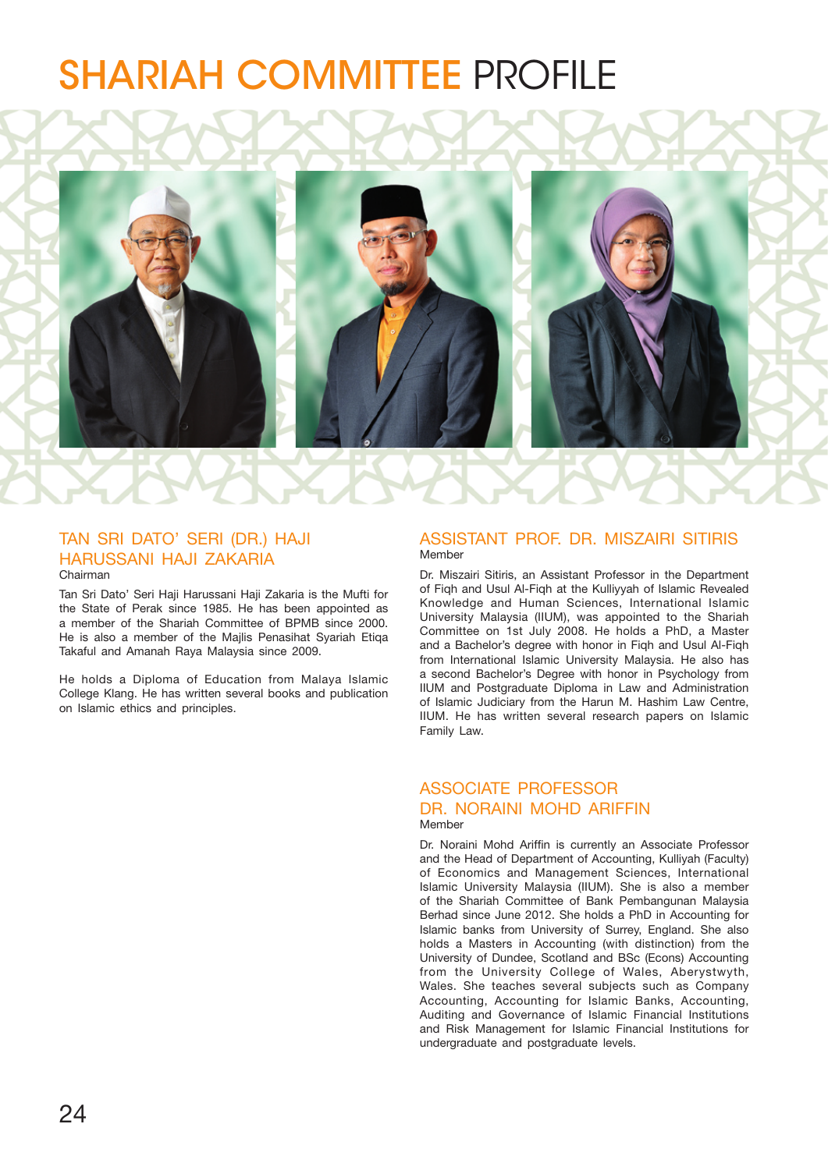# SHARIAH COMMITTEE PROFILE



# TAN SRI DATO' SERI (DR.) HAJI HARUSSANI HAJI ZAKARIA Chairman

Tan Sri Dato' Seri Haji Harussani Haji Zakaria is the Mufti for the State of Perak since 1985. He has been appointed as a member of the Shariah Committee of BPMB since 2000. He is also a member of the Majlis Penasihat Syariah Etiqa Takaful and Amanah Raya Malaysia since 2009.

He holds a Diploma of Education from Malaya Islamic College Klang. He has written several books and publication on Islamic ethics and principles.

### ASSISTANT PROF. DR. MISZAIRI SITIRIS Member

Dr. Miszairi Sitiris, an Assistant Professor in the Department of Fiqh and Usul Al-Fiqh at the Kulliyyah of Islamic Revealed Knowledge and Human Sciences, International Islamic University Malaysia (IIUM), was appointed to the Shariah Committee on 1st July 2008. He holds a PhD, a Master and a Bachelor's degree with honor in Fiqh and Usul Al-Fiqh from International Islamic University Malaysia. He also has a second Bachelor's Degree with honor in Psychology from IIUM and Postgraduate Diploma in Law and Administration of Islamic Judiciary from the Harun M. Hashim Law Centre, IIUM. He has written several research papers on Islamic Family Law.

# ASSOCIATE PROFESSOR DR. NORAINI MOHD ARIFFIN Member

Dr. Noraini Mohd Ariffin is currently an Associate Professor and the Head of Department of Accounting, Kulliyah (Faculty) of Economics and Management Sciences, International Islamic University Malaysia (IIUM). She is also a member of the Shariah Committee of Bank Pembangunan Malaysia Berhad since June 2012. She holds a PhD in Accounting for Islamic banks from University of Surrey, England. She also holds a Masters in Accounting (with distinction) from the University of Dundee, Scotland and BSc (Econs) Accounting from the University College of Wales, Aberystwyth, Wales. She teaches several subjects such as Company Accounting, Accounting for Islamic Banks, Accounting, Auditing and Governance of Islamic Financial Institutions and Risk Management for Islamic Financial Institutions for undergraduate and postgraduate levels.